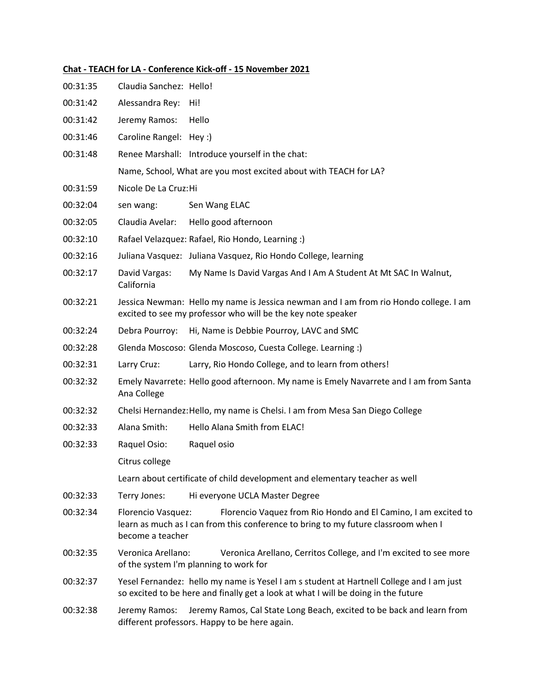## **Chat - TEACH for LA - Conference Kick-off - 15 November 2021**

| 00:31:35 | Claudia Sanchez: Hello!                                                                                                                                                                        |                                                                                                                                                                                |  |
|----------|------------------------------------------------------------------------------------------------------------------------------------------------------------------------------------------------|--------------------------------------------------------------------------------------------------------------------------------------------------------------------------------|--|
| 00:31:42 | Alessandra Rey:                                                                                                                                                                                | Hi!                                                                                                                                                                            |  |
| 00:31:42 | Jeremy Ramos:                                                                                                                                                                                  | Hello                                                                                                                                                                          |  |
| 00:31:46 | Caroline Rangel: Hey :)                                                                                                                                                                        |                                                                                                                                                                                |  |
| 00:31:48 |                                                                                                                                                                                                | Renee Marshall: Introduce yourself in the chat:                                                                                                                                |  |
|          | Name, School, What are you most excited about with TEACH for LA?                                                                                                                               |                                                                                                                                                                                |  |
| 00:31:59 | Nicole De La Cruz: Hi                                                                                                                                                                          |                                                                                                                                                                                |  |
| 00:32:04 | sen wang:                                                                                                                                                                                      | Sen Wang ELAC                                                                                                                                                                  |  |
| 00:32:05 | Claudia Avelar:                                                                                                                                                                                | Hello good afternoon                                                                                                                                                           |  |
| 00:32:10 |                                                                                                                                                                                                | Rafael Velazquez: Rafael, Rio Hondo, Learning :)                                                                                                                               |  |
| 00:32:16 |                                                                                                                                                                                                | Juliana Vasquez: Juliana Vasquez, Rio Hondo College, learning                                                                                                                  |  |
| 00:32:17 | David Vargas:<br>California                                                                                                                                                                    | My Name Is David Vargas And I Am A Student At Mt SAC In Walnut,                                                                                                                |  |
| 00:32:21 |                                                                                                                                                                                                | Jessica Newman: Hello my name is Jessica newman and I am from rio Hondo college. I am<br>excited to see my professor who will be the key note speaker                          |  |
| 00:32:24 | Debra Pourroy:                                                                                                                                                                                 | Hi, Name is Debbie Pourroy, LAVC and SMC                                                                                                                                       |  |
| 00:32:28 |                                                                                                                                                                                                | Glenda Moscoso: Glenda Moscoso, Cuesta College. Learning :)                                                                                                                    |  |
| 00:32:31 | Larry Cruz:                                                                                                                                                                                    | Larry, Rio Hondo College, and to learn from others!                                                                                                                            |  |
| 00:32:32 | Ana College                                                                                                                                                                                    | Emely Navarrete: Hello good afternoon. My name is Emely Navarrete and I am from Santa                                                                                          |  |
| 00:32:32 | Chelsi Hernandez: Hello, my name is Chelsi. I am from Mesa San Diego College                                                                                                                   |                                                                                                                                                                                |  |
| 00:32:33 | Alana Smith:                                                                                                                                                                                   | Hello Alana Smith from ELAC!                                                                                                                                                   |  |
| 00:32:33 | Raquel Osio:                                                                                                                                                                                   | Raquel osio                                                                                                                                                                    |  |
|          | Citrus college                                                                                                                                                                                 |                                                                                                                                                                                |  |
|          | Learn about certificate of child development and elementary teacher as well                                                                                                                    |                                                                                                                                                                                |  |
| 00:32:33 | Terry Jones:                                                                                                                                                                                   | Hi everyone UCLA Master Degree                                                                                                                                                 |  |
| 00:32:34 | Florencio Vasquez:<br>Florencio Vaquez from Rio Hondo and El Camino, I am excited to<br>learn as much as I can from this conference to bring to my future classroom when I<br>become a teacher |                                                                                                                                                                                |  |
| 00:32:35 | Veronica Arellano:                                                                                                                                                                             | Veronica Arellano, Cerritos College, and I'm excited to see more<br>of the system I'm planning to work for                                                                     |  |
| 00:32:37 |                                                                                                                                                                                                | Yesel Fernandez: hello my name is Yesel I am s student at Hartnell College and I am just<br>so excited to be here and finally get a look at what I will be doing in the future |  |
| 00:32:38 | Jeremy Ramos:                                                                                                                                                                                  | Jeremy Ramos, Cal State Long Beach, excited to be back and learn from<br>different professors. Happy to be here again.                                                         |  |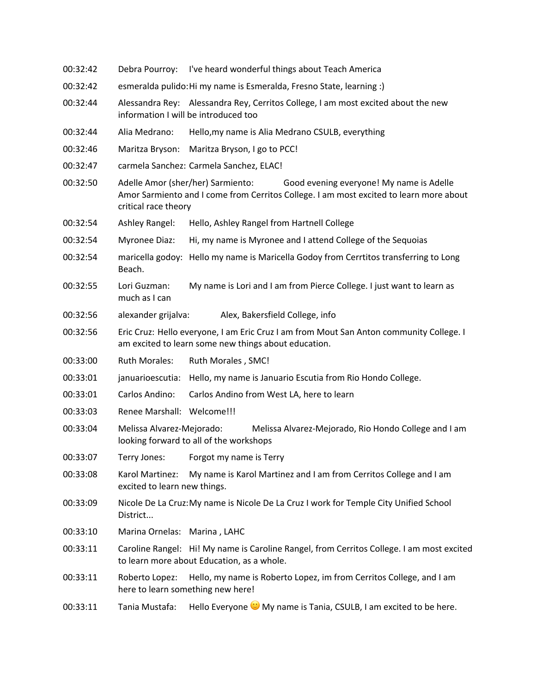| 00:32:42 | Debra Pourroy:                                                                                                                                                                                  | I've heard wonderful things about Teach America                                                                                                 |
|----------|-------------------------------------------------------------------------------------------------------------------------------------------------------------------------------------------------|-------------------------------------------------------------------------------------------------------------------------------------------------|
| 00:32:42 | esmeralda pulido: Hi my name is Esmeralda, Fresno State, learning :)                                                                                                                            |                                                                                                                                                 |
| 00:32:44 |                                                                                                                                                                                                 | Alessandra Rey: Alessandra Rey, Cerritos College, I am most excited about the new<br>information I will be introduced too                       |
| 00:32:44 | Alia Medrano:                                                                                                                                                                                   | Hello, my name is Alia Medrano CSULB, everything                                                                                                |
| 00:32:46 | Maritza Bryson:                                                                                                                                                                                 | Maritza Bryson, I go to PCC!                                                                                                                    |
| 00:32:47 |                                                                                                                                                                                                 | carmela Sanchez: Carmela Sanchez, ELAC!                                                                                                         |
| 00:32:50 | Adelle Amor (sher/her) Sarmiento:<br>Good evening everyone! My name is Adelle<br>Amor Sarmiento and I come from Cerritos College. I am most excited to learn more about<br>critical race theory |                                                                                                                                                 |
| 00:32:54 | Ashley Rangel:                                                                                                                                                                                  | Hello, Ashley Rangel from Hartnell College                                                                                                      |
| 00:32:54 | <b>Myronee Diaz:</b>                                                                                                                                                                            | Hi, my name is Myronee and I attend College of the Sequoias                                                                                     |
| 00:32:54 | Beach.                                                                                                                                                                                          | maricella godoy: Hello my name is Maricella Godoy from Cerrtitos transferring to Long                                                           |
| 00:32:55 | Lori Guzman:<br>much as I can                                                                                                                                                                   | My name is Lori and I am from Pierce College. I just want to learn as                                                                           |
| 00:32:56 | alexander grijalva:                                                                                                                                                                             | Alex, Bakersfield College, info                                                                                                                 |
| 00:32:56 |                                                                                                                                                                                                 | Eric Cruz: Hello everyone, I am Eric Cruz I am from Mout San Anton community College. I<br>am excited to learn some new things about education. |
| 00:33:00 | <b>Ruth Morales:</b>                                                                                                                                                                            | Ruth Morales, SMC!                                                                                                                              |
| 00:33:01 | januarioescutia:                                                                                                                                                                                | Hello, my name is Januario Escutia from Rio Hondo College.                                                                                      |
| 00:33:01 | Carlos Andino:                                                                                                                                                                                  | Carlos Andino from West LA, here to learn                                                                                                       |
| 00:33:03 | Renee Marshall: Welcome!!!                                                                                                                                                                      |                                                                                                                                                 |
| 00:33:04 | Melissa Alvarez-Mejorado:<br>Melissa Alvarez-Mejorado, Rio Hondo College and I am<br>looking forward to all of the workshops                                                                    |                                                                                                                                                 |
| 00:33:07 | Terry Jones:                                                                                                                                                                                    | Forgot my name is Terry                                                                                                                         |
| 00:33:08 | Karol Martinez:<br>excited to learn new things.                                                                                                                                                 | My name is Karol Martinez and I am from Cerritos College and I am                                                                               |
| 00:33:09 | District                                                                                                                                                                                        | Nicole De La Cruz: My name is Nicole De La Cruz I work for Temple City Unified School                                                           |
| 00:33:10 | Marina Ornelas: Marina, LAHC                                                                                                                                                                    |                                                                                                                                                 |
| 00:33:11 |                                                                                                                                                                                                 | Caroline Rangel: Hi! My name is Caroline Rangel, from Cerritos College. I am most excited<br>to learn more about Education, as a whole.         |
| 00:33:11 | Roberto Lopez:                                                                                                                                                                                  | Hello, my name is Roberto Lopez, im from Cerritos College, and I am<br>here to learn something new here!                                        |
| 00:33:11 | Tania Mustafa:                                                                                                                                                                                  | Hello Everyone W My name is Tania, CSULB, I am excited to be here.                                                                              |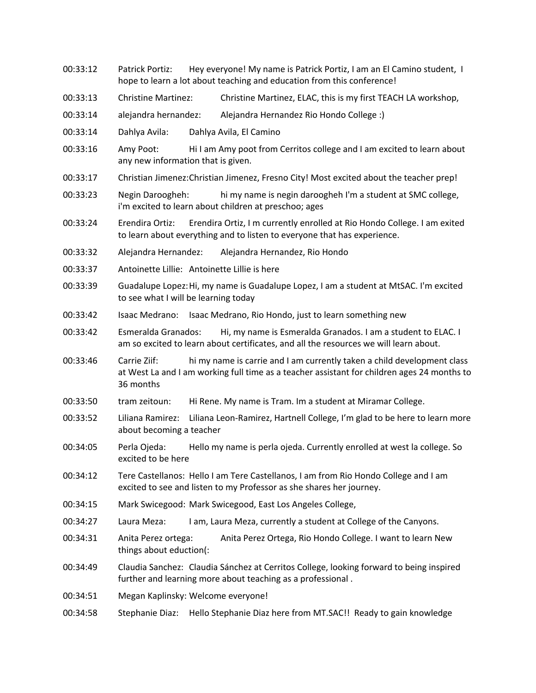- 00:33:12 Patrick Portiz: Hey everyone! My name is Patrick Portiz, I am an El Camino student, I hope to learn a lot about teaching and education from this conference!
- 00:33:13 Christine Martinez: Christine Martinez, ELAC, this is my first TEACH LA workshop,
- 00:33:14 alejandra hernandez: Alejandra Hernandez Rio Hondo College :)
- 00:33:14 Dahlya Avila: Dahlya Avila, El Camino
- 00:33:16 Amy Poot: Hi I am Amy poot from Cerritos college and I am excited to learn about any new information that is given.
- 00:33:17 Christian Jimenez:Christian Jimenez, Fresno City! Most excited about the teacher prep!
- 00:33:23 Negin Daroogheh: hi my name is negin daroogheh I'm a student at SMC college, i'm excited to learn about children at preschoo; ages
- 00:33:24 Erendira Ortiz: Erendira Ortiz, I m currently enrolled at Rio Hondo College. I am exited to learn about everything and to listen to everyone that has experience.
- 00:33:32 Alejandra Hernandez: Alejandra Hernandez, Rio Hondo
- 00:33:37 Antoinette Lillie: Antoinette Lillie is here
- 00:33:39 Guadalupe Lopez:Hi, my name is Guadalupe Lopez, I am a student at MtSAC. I'm excited to see what I will be learning today
- 00:33:42 Isaac Medrano: Isaac Medrano, Rio Hondo, just to learn something new
- 00:33:42 Esmeralda Granados: Hi, my name is Esmeralda Granados. I am a student to ELAC. I am so excited to learn about certificates, and all the resources we will learn about.
- 00:33:46 Carrie Ziif: hi my name is carrie and I am currently taken a child development class at West La and I am working full time as a teacher assistant for children ages 24 months to 36 months
- 00:33:50 tram zeitoun: Hi Rene. My name is Tram. Im a student at Miramar College.
- 00:33:52 Liliana Ramirez: Liliana Leon-Ramirez, Hartnell College, I'm glad to be here to learn more about becoming a teacher
- 00:34:05 Perla Ojeda: Hello my name is perla ojeda. Currently enrolled at west la college. So excited to be here
- 00:34:12 Tere Castellanos: Hello I am Tere Castellanos, I am from Rio Hondo College and I am excited to see and listen to my Professor as she shares her journey.
- 00:34:15 Mark Swicegood: Mark Swicegood, East Los Angeles College,
- 00:34:27 Laura Meza: I am, Laura Meza, currently a student at College of the Canyons.
- 00:34:31 Anita Perez ortega: Anita Perez Ortega, Rio Hondo College. I want to learn New things about eduction(:
- 00:34:49 Claudia Sanchez: Claudia Sánchez at Cerritos College, looking forward to being inspired further and learning more about teaching as a professional .
- 00:34:51 Megan Kaplinsky: Welcome everyone!
- 00:34:58 Stephanie Diaz: Hello Stephanie Diaz here from MT.SAC!! Ready to gain knowledge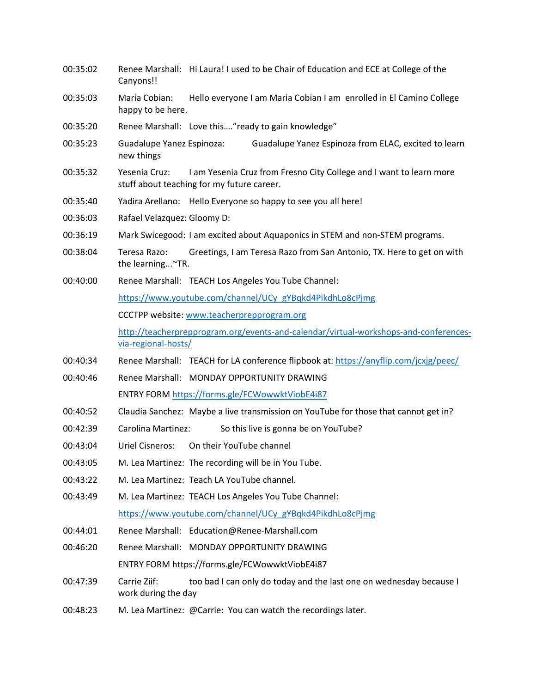- 00:35:02 Renee Marshall: Hi Laura! I used to be Chair of Education and ECE at College of the Canyons!!
- 00:35:03 Maria Cobian: Hello everyone I am Maria Cobian I am enrolled in El Camino College happy to be here.
- 00:35:20 Renee Marshall: Love this...."ready to gain knowledge"
- 00:35:23 Guadalupe Yanez Espinoza: Guadalupe Yanez Espinoza from ELAC, excited to learn new things
- 00:35:32 Yesenia Cruz: I am Yesenia Cruz from Fresno City College and I want to learn more stuff about teaching for my future career.
- 00:35:40 Yadira Arellano: Hello Everyone so happy to see you all here!
- 00:36:03 Rafael Velazquez: Gloomy D:
- 00:36:19 Mark Swicegood: I am excited about Aquaponics in STEM and non-STEM programs.
- 00:38:04 Teresa Razo: Greetings, I am Teresa Razo from San Antonio, TX. Here to get on with the learning...~TR.
- 00:40:00 Renee Marshall: TEACH Los Angeles You Tube Channel: https://www.youtube.com/channel/UCy\_gYBqkd4PikdhLo8cPjmg CCCTPP website: www.teacherprepprogram.org

http://teacherprepprogram.org/events-and-calendar/virtual-workshops-and-conferencesvia-regional-hosts/

- 00:40:34 Renee Marshall: TEACH for LA conference flipbook at: https://anyflip.com/jcxjg/peec/
- 00:40:46 Renee Marshall: MONDAY OPPORTUNITY DRAWING ENTRY FORM https://forms.gle/FCWowwktViobE4i87
- 00:40:52 Claudia Sanchez: Maybe a live transmission on YouTube for those that cannot get in?
- 00:42:39 Carolina Martinez: So this live is gonna be on YouTube?
- 00:43:04 Uriel Cisneros: On their YouTube channel
- 00:43:05 M. Lea Martinez: The recording will be in You Tube.
- 00:43:22 M. Lea Martinez: Teach LA YouTube channel.
- 00:43:49 M. Lea Martinez: TEACH Los Angeles You Tube Channel: https://www.youtube.com/channel/UCy\_gYBqkd4PikdhLo8cPjmg
- 00:44:01 Renee Marshall: Education@Renee-Marshall.com
- 00:46:20 Renee Marshall: MONDAY OPPORTUNITY DRAWING ENTRY FORM https://forms.gle/FCWowwktViobE4i87
- 00:47:39 Carrie Ziif: too bad I can only do today and the last one on wednesday because I work during the day
- 00:48:23 M. Lea Martinez: @Carrie: You can watch the recordings later.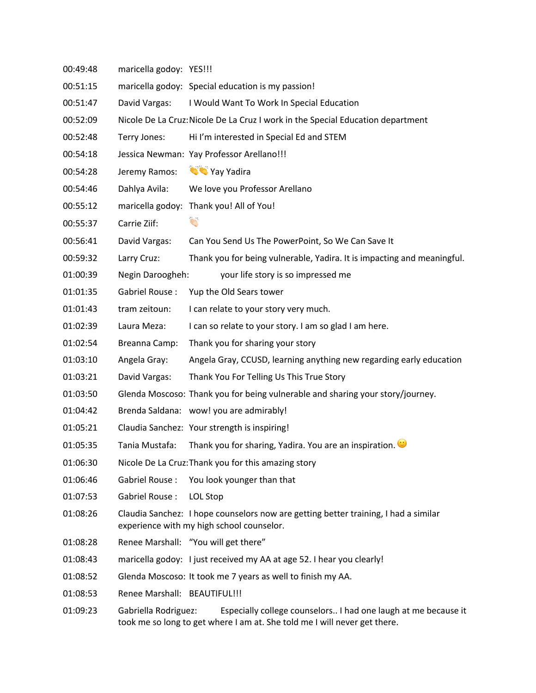00:49:48 maricella godoy: YES!!! 00:51:15 maricella godoy: Special education is my passion! 00:51:47 David Vargas: I Would Want To Work In Special Education 00:52:09 Nicole De La Cruz:Nicole De La Cruz I work in the Special Education department 00:52:48 Terry Jones: Hi I'm interested in Special Ed and STEM 00:54:18 Jessica Newman: Yay Professor Arellano!!! 00:54:28 Jeremy Ramos: Way Yay Yadira 00:54:46 Dahlya Avila: We love you Professor Arellano 00:55:12 maricella godoy: Thank you! All of You! 00:55:37 Carrie Ziif: 00:56:41 David Vargas: Can You Send Us The PowerPoint, So We Can Save It 00:59:32 Larry Cruz: Thank you for being vulnerable, Yadira. It is impacting and meaningful. 01:00:39 Negin Daroogheh: your life story is so impressed me 01:01:35 Gabriel Rouse : Yup the Old Sears tower 01:01:43 tram zeitoun: I can relate to your story very much. 01:02:39 Laura Meza: I can so relate to your story. I am so glad I am here. 01:02:54 Breanna Camp: Thank you for sharing your story 01:03:10 Angela Gray: Angela Gray, CCUSD, learning anything new regarding early education 01:03:21 David Vargas: Thank You For Telling Us This True Story 01:03:50 Glenda Moscoso: Thank you for being vulnerable and sharing your story/journey. 01:04:42 Brenda Saldana: wow! you are admirably! 01:05:21 Claudia Sanchez: Your strength is inspiring! 01:05:35 Tania Mustafa: Thank you for sharing, Yadira. You are an inspiration. 01:06:30 Nicole De La Cruz:Thank you for this amazing story 01:06:46 Gabriel Rouse : You look younger than that 01:07:53 Gabriel Rouse : LOL Stop 01:08:26 Claudia Sanchez: I hope counselors now are getting better training, I had a similar experience with my high school counselor. 01:08:28 Renee Marshall: "You will get there" 01:08:43 maricella godoy: I just received my AA at age 52. I hear you clearly! 01:08:52 Glenda Moscoso: It took me 7 years as well to finish my AA. 01:08:53 Renee Marshall: BEAUTIFUL!!! 01:09:23 Gabriella Rodriguez: Especially college counselors.. I had one laugh at me because it took me so long to get where I am at. She told me I will never get there.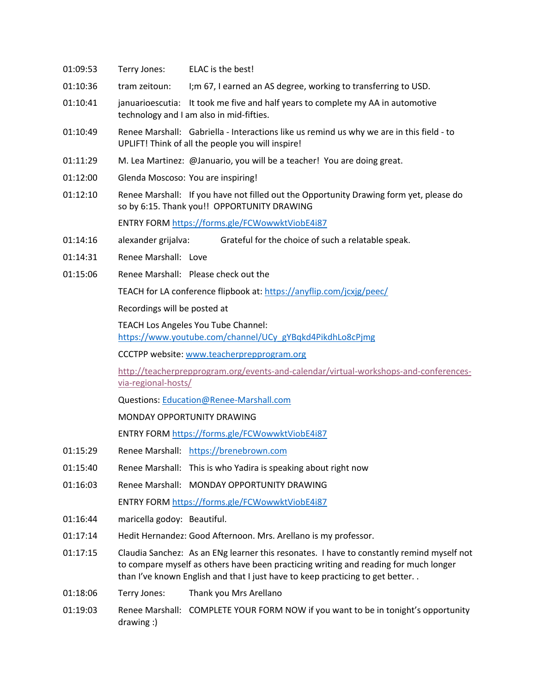- 01:09:53 Terry Jones: ELAC is the best!
- 01:10:36 tram zeitoun: I;m 67, I earned an AS degree, working to transferring to USD.
- 01:10:41 januarioescutia: It took me five and half years to complete my AA in automotive technology and I am also in mid-fifties.
- 01:10:49 Renee Marshall: Gabriella Interactions like us remind us why we are in this field to UPLIFT! Think of all the people you will inspire!
- 01:11:29 M. Lea Martinez: @Januario, you will be a teacher! You are doing great.
- 01:12:00 Glenda Moscoso: You are inspiring!
- 01:12:10 Renee Marshall: If you have not filled out the Opportunity Drawing form yet, please do so by 6:15. Thank you!! OPPORTUNITY DRAWING

ENTRY FORM https://forms.gle/FCWowwktViobE4i87

- 01:14:16 alexander grijalva: Grateful for the choice of such a relatable speak.
- 01:14:31 Renee Marshall: Love
- 01:15:06 Renee Marshall: Please check out the

TEACH for LA conference flipbook at: https://anyflip.com/jcxjg/peec/

Recordings will be posted at

TEACH Los Angeles You Tube Channel:

https://www.youtube.com/channel/UCy\_gYBqkd4PikdhLo8cPjmg

CCCTPP website: www.teacherprepprogram.org

http://teacherprepprogram.org/events-and-calendar/virtual-workshops-and-conferencesvia-regional-hosts/

Questions: Education@Renee-Marshall.com

MONDAY OPPORTUNITY DRAWING

ENTRY FORM https://forms.gle/FCWowwktViobE4i87

- 01:15:29 Renee Marshall: https://brenebrown.com
- 01:15:40 Renee Marshall: This is who Yadira is speaking about right now
- 01:16:03 Renee Marshall: MONDAY OPPORTUNITY DRAWING ENTRY FORM https://forms.gle/FCWowwktViobE4i87
- 01:16:44 maricella godoy: Beautiful.
- 01:17:14 Hedit Hernandez: Good Afternoon. Mrs. Arellano is my professor.
- 01:17:15 Claudia Sanchez: As an ENg learner this resonates. I have to constantly remind myself not to compare myself as others have been practicing writing and reading for much longer than I've known English and that I just have to keep practicing to get better. .
- 01:18:06 Terry Jones: Thank you Mrs Arellano
- 01:19:03 Renee Marshall: COMPLETE YOUR FORM NOW if you want to be in tonight's opportunity drawing :)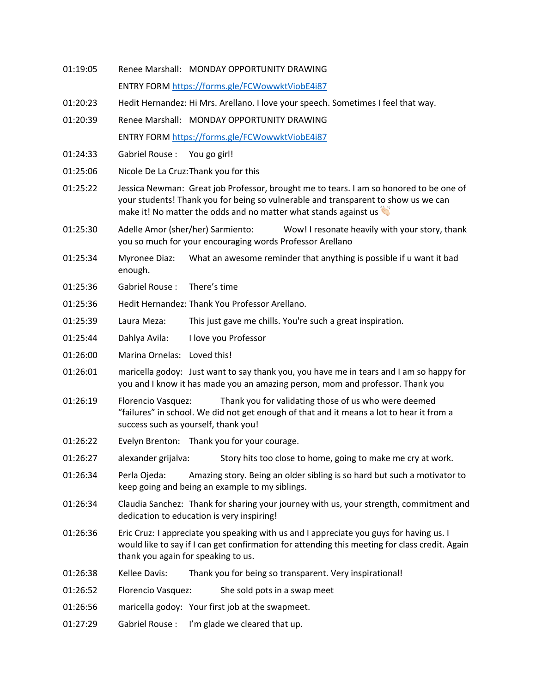01:19:05 Renee Marshall: MONDAY OPPORTUNITY DRAWING ENTRY FORM https://forms.gle/FCWowwktViobE4i87 01:20:23 Hedit Hernandez: Hi Mrs. Arellano. I love your speech. Sometimes I feel that way. 01:20:39 Renee Marshall: MONDAY OPPORTUNITY DRAWING ENTRY FORM https://forms.gle/FCWowwktViobE4i87 01:24:33 Gabriel Rouse : You go girl! 01:25:06 Nicole De La Cruz:Thank you for this 01:25:22 Jessica Newman: Great job Professor, brought me to tears. I am so honored to be one of your students! Thank you for being so vulnerable and transparent to show us we can make it! No matter the odds and no matter what stands against us 01:25:30 Adelle Amor (sher/her) Sarmiento: Wow! I resonate heavily with your story, thank you so much for your encouraging words Professor Arellano 01:25:34 Myronee Diaz: What an awesome reminder that anything is possible if u want it bad enough. 01:25:36 Gabriel Rouse : There's time 01:25:36 Hedit Hernandez: Thank You Professor Arellano. 01:25:39 Laura Meza: This just gave me chills. You're such a great inspiration. 01:25:44 Dahlya Avila: I love you Professor 01:26:00 Marina Ornelas: Loved this! 01:26:01 maricella godoy: Just want to say thank you, you have me in tears and I am so happy for you and I know it has made you an amazing person, mom and professor. Thank you 01:26:19 Florencio Vasquez: Thank you for validating those of us who were deemed "failures" in school. We did not get enough of that and it means a lot to hear it from a success such as yourself, thank you! 01:26:22 Evelyn Brenton: Thank you for your courage. 01:26:27 alexander grijalva: Story hits too close to home, going to make me cry at work. 01:26:34 Perla Ojeda: Amazing story. Being an older sibling is so hard but such a motivator to keep going and being an example to my siblings. 01:26:34 Claudia Sanchez: Thank for sharing your journey with us, your strength, commitment and dedication to education is very inspiring! 01:26:36 Eric Cruz: I appreciate you speaking with us and I appreciate you guys for having us. I would like to say if I can get confirmation for attending this meeting for class credit. Again thank you again for speaking to us. 01:26:38 Kellee Davis: Thank you for being so transparent. Very inspirational! 01:26:52 Florencio Vasquez: She sold pots in a swap meet 01:26:56 maricella godoy: Your first job at the swapmeet. 01:27:29 Gabriel Rouse : I'm glade we cleared that up.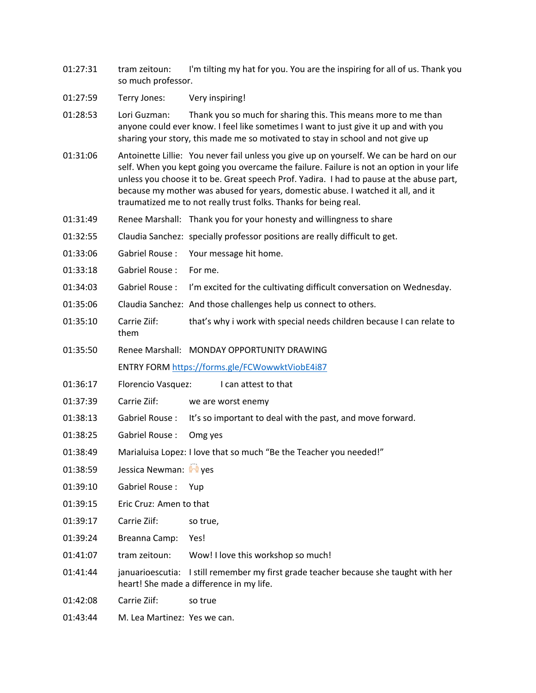- 01:27:31 tram zeitoun: I'm tilting my hat for you. You are the inspiring for all of us. Thank you so much professor.
- 01:27:59 Terry Jones: Very inspiring!
- 01:28:53 Lori Guzman: Thank you so much for sharing this. This means more to me than anyone could ever know. I feel like sometimes I want to just give it up and with you sharing your story, this made me so motivated to stay in school and not give up
- 01:31:06 Antoinette Lillie: You never fail unless you give up on yourself. We can be hard on our self. When you kept going you overcame the failure. Failure is not an option in your life unless you choose it to be. Great speech Prof. Yadira. I had to pause at the abuse part, because my mother was abused for years, domestic abuse. I watched it all, and it traumatized me to not really trust folks. Thanks for being real.
- 01:31:49 Renee Marshall: Thank you for your honesty and willingness to share
- 01:32:55 Claudia Sanchez: specially professor positions are really difficult to get.
- 01:33:06 Gabriel Rouse : Your message hit home.
- 01:33:18 Gabriel Rouse : For me.
- 01:34:03 Gabriel Rouse : I'm excited for the cultivating difficult conversation on Wednesday.
- 01:35:06 Claudia Sanchez: And those challenges help us connect to others.
- 01:35:10 Carrie Ziif: that's why i work with special needs children because I can relate to them
- 01:35:50 Renee Marshall: MONDAY OPPORTUNITY DRAWING ENTRY FORM https://forms.gle/FCWowwktViobE4i87
- 01:36:17 Florencio Vasquez: I can attest to that
- 01:37:39 Carrie Ziif: we are worst enemy
- 01:38:13 Gabriel Rouse : It's so important to deal with the past, and move forward.
- 01:38:25 Gabriel Rouse : Omg yes
- 01:38:49 Marialuisa Lopez: I love that so much "Be the Teacher you needed!"
- $01:38:59$  Jessica Newman:  $\sqrt{ }$  ves
- 01:39:10 Gabriel Rouse : Yup
- 01:39:15 Eric Cruz: Amen to that
- 01:39:17 Carrie Ziif: so true,
- 01:39:24 Breanna Camp: Yes!
- 01:41:07 tram zeitoun: Wow! I love this workshop so much!
- 01:41:44 januarioescutia: I still remember my first grade teacher because she taught with her heart! She made a difference in my life.
- 01:42:08 Carrie Ziif: so true
- 01:43:44 M. Lea Martinez: Yes we can.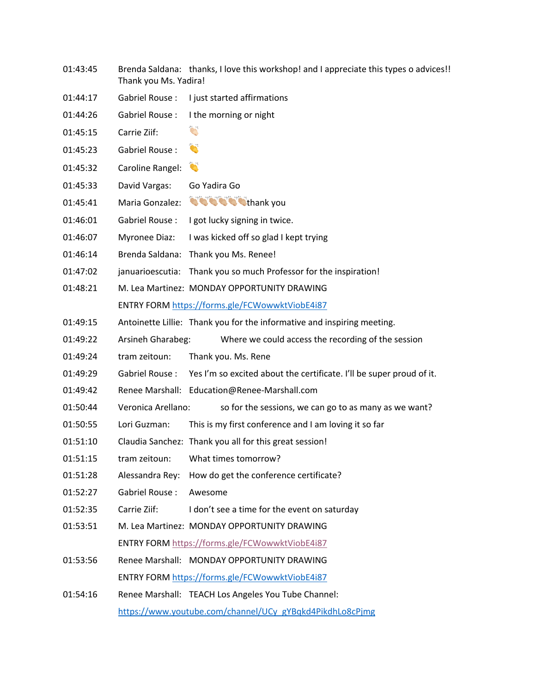- 01:43:45 Brenda Saldana: thanks, I love this workshop! and I appreciate this types o advices!! Thank you Ms. Yadira!
- 01:44:17 Gabriel Rouse : I just started affirmations
- 01:44:26 Gabriel Rouse : I the morning or night
- 01:45:15 Carrie Ziif:
- 01:45:23 Gabriel Rouse :
- 01:45:32 Caroline Rangel:
- 01:45:33 David Vargas: Go Yadira Go
- 01:45:41 Maria Gonzalez: **thank** you
- 01:46:01 Gabriel Rouse : I got lucky signing in twice.
- 01:46:07 Myronee Diaz: I was kicked off so glad I kept trying
- 01:46:14 Brenda Saldana: Thank you Ms. Renee!
- 01:47:02 januarioescutia: Thank you so much Professor for the inspiration!
- 01:48:21 M. Lea Martinez: MONDAY OPPORTUNITY DRAWING ENTRY FORM https://forms.gle/FCWowwktViobE4i87
- 01:49:15 Antoinette Lillie: Thank you for the informative and inspiring meeting.
- 01:49:22 Arsineh Gharabeg: Where we could access the recording of the session
- 01:49:24 tram zeitoun: Thank you. Ms. Rene
- 01:49:29 Gabriel Rouse : Yes I'm so excited about the certificate. I'll be super proud of it.
- 01:49:42 Renee Marshall: Education@Renee-Marshall.com
- 01:50:44 Veronica Arellano: so for the sessions, we can go to as many as we want?
- 01:50:55 Lori Guzman: This is my first conference and I am loving it so far
- 01:51:10 Claudia Sanchez: Thank you all for this great session!
- 01:51:15 tram zeitoun: What times tomorrow?
- 01:51:28 Alessandra Rey: How do get the conference certificate?
- 01:52:27 Gabriel Rouse : Awesome
- 01:52:35 Carrie Ziif: I don't see a time for the event on saturday
- 01:53:51 M. Lea Martinez: MONDAY OPPORTUNITY DRAWING ENTRY FORM https://forms.gle/FCWowwktViobE4i87
- 01:53:56 Renee Marshall: MONDAY OPPORTUNITY DRAWING ENTRY FORM https://forms.gle/FCWowwktViobE4i87
- 01:54:16 Renee Marshall: TEACH Los Angeles You Tube Channel: https://www.youtube.com/channel/UCy\_gYBqkd4PikdhLo8cPjmg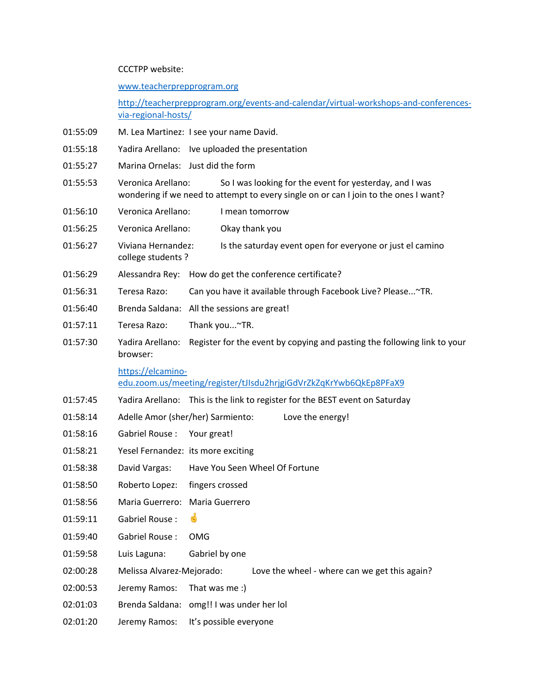CCCTPP website:

www.teacherprepprogram.org

http://teacherprepprogram.org/events-and-calendar/virtual-workshops-and-conferencesvia-regional-hosts/

- 01:55:09 M. Lea Martinez: I see your name David.
- 01:55:18 Yadira Arellano: Ive uploaded the presentation
- 01:55:27 Marina Ornelas: Just did the form
- 01:55:53 Veronica Arellano: So I was looking for the event for yesterday, and I was wondering if we need to attempt to every single on or can I join to the ones I want?
- 01:56:10 Veronica Arellano: I mean tomorrow
- 01:56:25 Veronica Arellano: Okay thank you
- 01:56:27 Viviana Hernandez: Is the saturday event open for everyone or just el camino college students ?
- 01:56:29 Alessandra Rey: How do get the conference certificate?
- 01:56:31 Teresa Razo: Can you have it available through Facebook Live? Please...~TR.
- 01:56:40 Brenda Saldana: All the sessions are great!
- 01:57:11 Teresa Razo: Thank you...~TR.
- 01:57:30 Yadira Arellano: Register for the event by copying and pasting the following link to your browser:

https://elcamino-

edu.zoom.us/meeting/register/tJIsdu2hrjgiGdVrZkZqKrYwb6QkEp8PFaX9

- 01:57:45 Yadira Arellano: This is the link to register for the BEST event on Saturday
- 01:58:14 Adelle Amor (sher/her) Sarmiento: Love the energy!
- 01:58:16 Gabriel Rouse : Your great!
- 01:58:21 Yesel Fernandez: its more exciting
- 01:58:38 David Vargas: Have You Seen Wheel Of Fortune
- 01:58:50 Roberto Lopez: fingers crossed
- 01:58:56 Maria Guerrero: Maria Guerrero
- $01:59:11$  Gabriel Rouse :  $\bullet$
- 01:59:40 Gabriel Rouse : OMG
- 01:59:58 Luis Laguna: Gabriel by one
- 02:00:28 Melissa Alvarez-Mejorado: Love the wheel where can we get this again?
- 02:00:53 Jeremy Ramos: That was me :)
- 02:01:03 Brenda Saldana: omg!! I was under her lol
- 02:01:20 Jeremy Ramos: It's possible everyone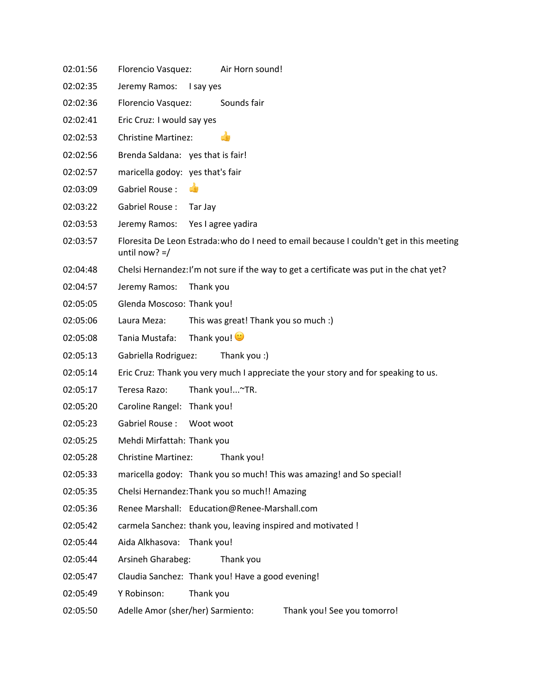| 02:01:56 | Florencio Vasquez:<br>Air Horn sound!                                                                        |  |  |
|----------|--------------------------------------------------------------------------------------------------------------|--|--|
| 02:02:35 | Jeremy Ramos:<br>I say yes                                                                                   |  |  |
| 02:02:36 | Sounds fair<br>Florencio Vasquez:                                                                            |  |  |
| 02:02:41 | Eric Cruz: I would say yes                                                                                   |  |  |
| 02:02:53 | <b>Christine Martinez:</b><br>re                                                                             |  |  |
| 02:02:56 | Brenda Saldana: yes that is fair!                                                                            |  |  |
| 02:02:57 | maricella godoy: yes that's fair                                                                             |  |  |
| 02:03:09 | Gabriel Rouse:<br>ďB                                                                                         |  |  |
| 02:03:22 | Gabriel Rouse:<br>Tar Jay                                                                                    |  |  |
| 02:03:53 | Jeremy Ramos:<br>Yes I agree yadira                                                                          |  |  |
| 02:03:57 | Floresita De Leon Estrada: who do I need to email because I couldn't get in this meeting<br>until now? $=$ / |  |  |
| 02:04:48 | Chelsi Hernandez: I'm not sure if the way to get a certificate was put in the chat yet?                      |  |  |
| 02:04:57 | Jeremy Ramos:<br>Thank you                                                                                   |  |  |
| 02:05:05 | Glenda Moscoso: Thank you!                                                                                   |  |  |
| 02:05:06 | Laura Meza:<br>This was great! Thank you so much :)                                                          |  |  |
| 02:05:08 | Thank you! ♥<br>Tania Mustafa:                                                                               |  |  |
| 02:05:13 | Gabriella Rodriguez:<br>Thank you :)                                                                         |  |  |
| 02:05:14 | Eric Cruz: Thank you very much I appreciate the your story and for speaking to us.                           |  |  |
| 02:05:17 | Thank you!~TR.<br>Teresa Razo:                                                                               |  |  |
| 02:05:20 | Caroline Rangel: Thank you!                                                                                  |  |  |
| 02:05:23 | Gabriel Rouse:<br>Woot woot                                                                                  |  |  |
| 02:05:25 | Mehdi Mirfattah: Thank you                                                                                   |  |  |
| 02:05:28 | Christine Martinez: Thank you!                                                                               |  |  |
| 02:05:33 | maricella godoy: Thank you so much! This was amazing! and So special!                                        |  |  |
| 02:05:35 | Chelsi Hernandez: Thank you so much!! Amazing                                                                |  |  |
| 02:05:36 | Renee Marshall: Education@Renee-Marshall.com                                                                 |  |  |
| 02:05:42 | carmela Sanchez: thank you, leaving inspired and motivated !                                                 |  |  |
| 02:05:44 | Aida Alkhasova:<br>Thank you!                                                                                |  |  |
| 02:05:44 | Arsineh Gharabeg:<br>Thank you                                                                               |  |  |
| 02:05:47 | Claudia Sanchez: Thank you! Have a good evening!                                                             |  |  |
| 02:05:49 | Y Robinson:<br>Thank you                                                                                     |  |  |
| 02:05:50 | Adelle Amor (sher/her) Sarmiento:<br>Thank you! See you tomorro!                                             |  |  |